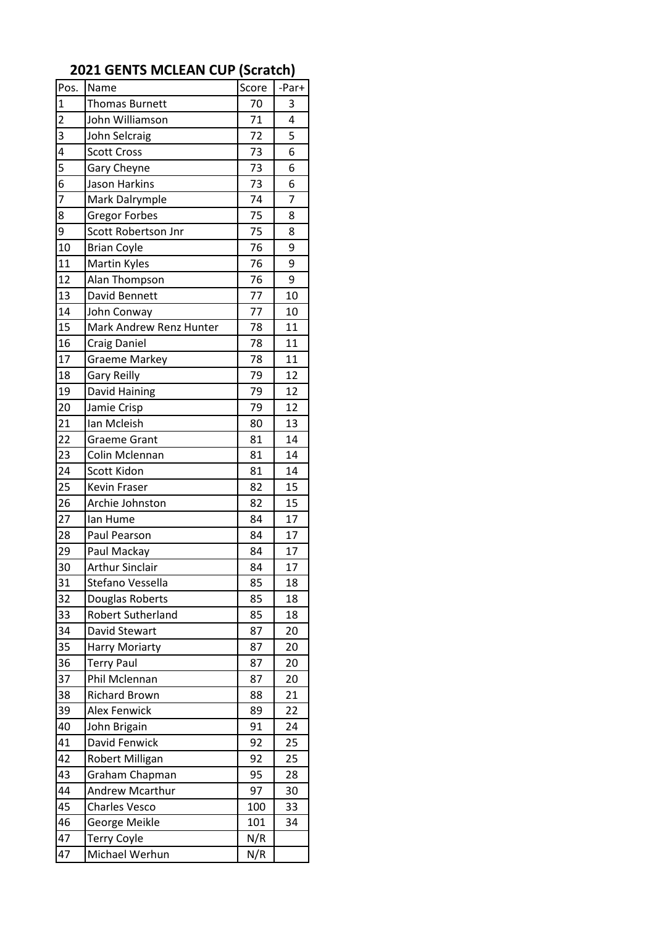| Pos.           | Name                    | Score | -Par+          |
|----------------|-------------------------|-------|----------------|
| $\mathbf{1}$   | <b>Thomas Burnett</b>   | 70    | 3              |
| $\overline{2}$ | John Williamson         | 71    | 4              |
| 3              | John Selcraig           | 72    | 5              |
| $\overline{4}$ | <b>Scott Cross</b>      | 73    | 6              |
| 5              | Gary Cheyne             | 73    | 6              |
| 6              | Jason Harkins           | 73    | 6              |
| $\overline{7}$ | Mark Dalrymple          | 74    | $\overline{7}$ |
| 8              | <b>Gregor Forbes</b>    | 75    | 8              |
| 9              | Scott Robertson Jnr     | 75    | 8              |
| 10             | <b>Brian Coyle</b>      | 76    | 9              |
| 11             | <b>Martin Kyles</b>     | 76    | 9              |
| 12             | Alan Thompson           | 76    | 9              |
| 13             | David Bennett           | 77    | 10             |
| 14             | John Conway             | 77    | 10             |
| 15             | Mark Andrew Renz Hunter | 78    | 11             |
| 16             | <b>Craig Daniel</b>     | 78    | 11             |
| 17             | <b>Graeme Markey</b>    | 78    | 11             |
| 18             | <b>Gary Reilly</b>      | 79    | 12             |
| 19             | David Haining           | 79    | 12             |
| 20             | Jamie Crisp             | 79    | 12             |
| 21             | Ian Mcleish             | 80    | 13             |
| 22             | <b>Graeme Grant</b>     | 81    | 14             |
| 23             | Colin Mclennan          | 81    | 14             |
| 24             | Scott Kidon             | 81    | 14             |
| 25             | Kevin Fraser            | 82    | 15             |
| 26             | Archie Johnston         | 82    | 15             |
| 27             | lan Hume                | 84    | 17             |
| 28             | Paul Pearson            | 84    | 17             |
| 29             | Paul Mackay             | 84    | 17             |
| 30             | <b>Arthur Sinclair</b>  | 84    | 17             |
| 31             | Stefano Vessella        | 85    | 18             |
| 32             | Douglas Roberts         | 85    | 18             |
| 33             | Robert Sutherland       | 85    | 18             |
| 34             | David Stewart           | 87    | 20             |
| 35             | <b>Harry Moriarty</b>   | 87    | 20             |
| 36             | <b>Terry Paul</b>       | 87    | 20             |
| 37             | Phil Mclennan           | 87    | 20             |
| 38             | <b>Richard Brown</b>    | 88    | 21             |
| 39             | <b>Alex Fenwick</b>     | 89    | 22             |
| 40             | John Brigain            | 91    | 24             |
| 41             | David Fenwick           | 92    | 25             |
| 42             | Robert Milligan         | 92    | 25             |
| 43             | Graham Chapman          | 95    | 28             |
| 44             | Andrew Mcarthur         | 97    | 30             |
| 45             | <b>Charles Vesco</b>    | 100   | 33             |
| 46             | George Meikle           | 101   | 34             |
| 47             | <b>Terry Coyle</b>      | N/R   |                |
| 47             | Michael Werhun          | N/R   |                |

## **2021 GENTS MCLEAN CUP (Scratch)**